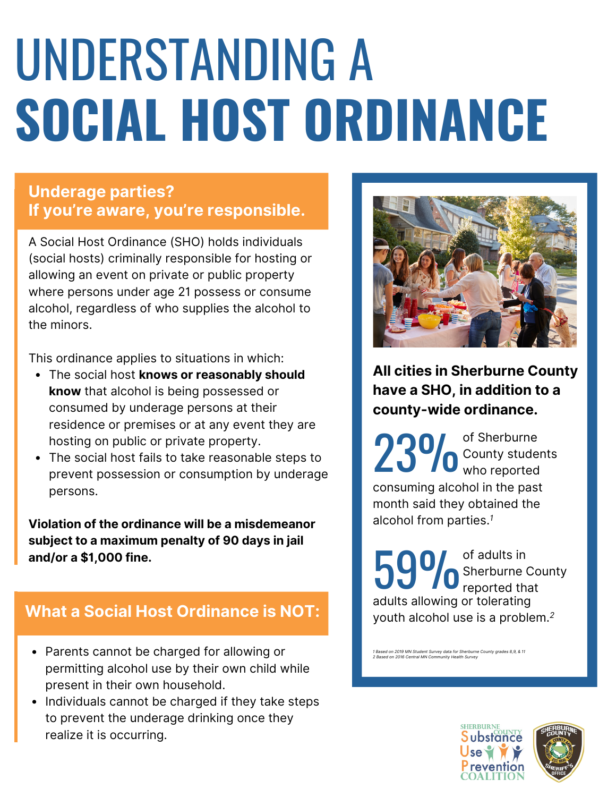# UNDERSTANDING A **SOCIAL HOST ORDINANCE**

### **Underage parties? If you're aware, you're responsible.**

A Social Host Ordinance (SHO) holds individuals (social hosts) criminally responsible for hosting or allowing an event on private or public property where persons under age 21 possess or consume alcohol, regardless of who supplies the alcohol to the minors.

This ordinance applies to situations in which:

- The social host **knows or reasonably should know** that alcohol is being possessed or consumed by underage persons at their residence or premises or at any event they are hosting on public or private property.
- The social host fails to take reasonable steps to prevent possession or consumption by underage persons.

**Violation of the ordinance will be a misdemeanor subject to a maximum penalty of 90 days in jail and/or a \$1,000 fine.**

### **What a Social Host Ordinance is NOT:**

- Parents cannot be charged for allowing or permitting alcohol use by their own child while present in their own household.
- Individuals cannot be charged if they take steps to prevent the underage drinking once they realize it is occurring.



**All cities in Sherburne County have a SHO, in addition to a county-wide ordinance.**

23% of Sherburne County students who reported consuming alcohol in the past month said they obtained the alcohol from parties.*<sup>1</sup>*

of adults in **Sherburne County** 59% of adults in adults allowing or tolerating youth alcohol use is a problem.*<sup>2</sup>*

*1 Based on 2019 MN Student Survey data for Sherburne County grades 8,9, & 11 2 Based on 2016 Central MN Community Health Survey*